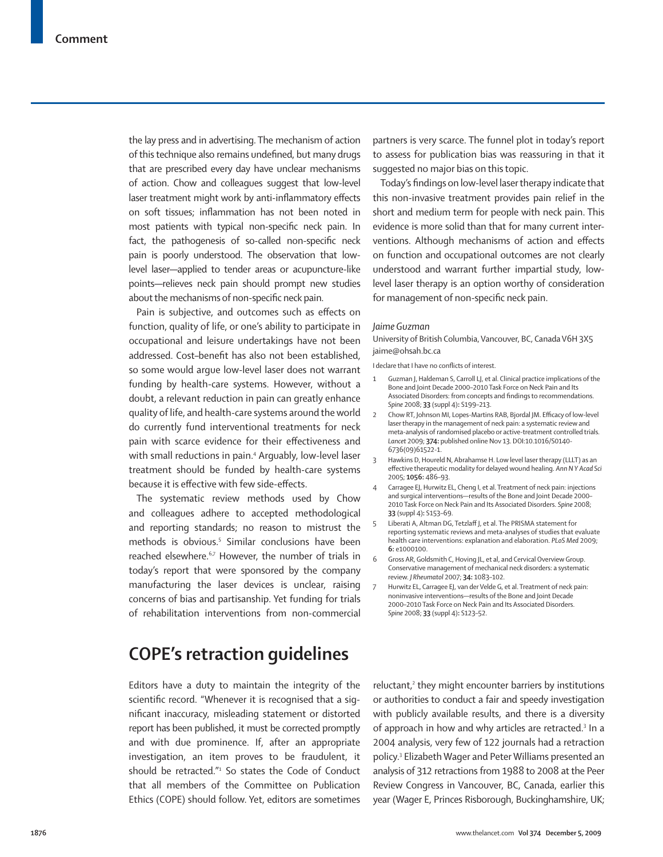the lay press and in advertising. The mechanism of action of this technique also remains undefined, but many drugs that are prescribed every day have unclear mechanisms of action. Chow and colleagues suggest that low-level laser treatment might work by anti-inflammatory effects on soft tissues; inflammation has not been noted in most patients with typical non-specific neck pain. In fact, the pathogenesis of so-called non-specific neck pain is poorly understood. The observation that lowlevel laser—applied to tender areas or acupuncture-like points—relieves neck pain should prompt new studies about the mechanisms of non-specific neck pain.

Pain is subjective, and outcomes such as effects on function, quality of life, or one's ability to participate in occupational and leisure undertakings have not been addressed. Cost-benefit has also not been established, so some would argue low-level laser does not warrant funding by health-care systems. However, without a doubt, a relevant reduction in pain can greatly enhance quality of life, and health-care systems around the world do currently fund interventional treatments for neck pain with scarce evidence for their effectiveness and with small reductions in pain.<sup>4</sup> Arguably, low-level laser treatment should be funded by health-care systems because it is effective with few side-effects.

The systematic review methods used by Chow and colleagues adhere to accepted methodological and reporting standards; no reason to mistrust the methods is obvious.<sup>5</sup> Similar conclusions have been reached elsewhere.<sup>6,7</sup> However, the number of trials in today's report that were sponsored by the company manufacturing the laser devices is unclear, raising concerns of bias and partisanship. Yet funding for trials of rehabilitation interventions from non-commercial

# **COPE's retraction guidelines**

Editors have a duty to maintain the integrity of the scientific record. "Whenever it is recognised that a significant inaccuracy, misleading statement or distorted report has been published, it must be corrected promptly and with due prominence. If, after an appropriate investigation, an item proves to be fraudulent, it should be retracted."1 So states the Code of Conduct that all members of the Committee on Publication Ethics (COPE) should follow. Yet, editors are sometimes

partners is very scarce. The funnel plot in today's report to assess for publication bias was reassuring in that it suggested no major bias on this topic.

Today's findings on low-level laser therapy indicate that this non-invasive treatment provides pain relief in the short and medium term for people with neck pain. This evidence is more solid than that for many current interventions. Although mechanisms of action and effects on function and occupational outcomes are not clearly understood and warrant further impartial study, lowlevel laser therapy is an option worthy of consideration for management of non-specific neck pain.

### *Jaime Guzman*

University of British Columbia, Vancouver, BC, Canada V6H 3X5 jaime@ohsah.bc.ca

I declare that I have no conflicts of interest.

- 1 Guzman J, Haldeman S, Carroll LJ, et al. Clinical practice implications of the Bone and Joint Decade 2000–2010 Task Force on Neck Pain and Its Associated Disorders: from concepts and findings to recommendations. *Spine* 2008; **33** (suppl 4)**:** S199–213.
- 2 Chow RT, Johnson MI, Lopes-Martins RAB, Bjordal JM. Efficacy of low-level laser therapy in the management of neck pain: a systematic review and meta-analysis of randomised placebo or active-treatment controlled trials. *Lancet* 2009; **374:** published online Nov 13. DOI:10.1016/S0140- 6736(09)61522-1.
- Hawkins D, Houreld N, Abrahamse H. Low level laser therapy (LLLT) as an effective therapeutic modality for delayed wound healing. Ann N Y Acad Sci 2005; **1056:** 486–93.
- 4 Carragee EJ, Hurwitz EL, Cheng I, et al. Treatment of neck pain: injections and surgical interventions—results of the Bone and Joint Decade 2000– 2010 Task Force on Neck Pain and Its Associated Disorders. *Spine* 2008; **33** (suppl 4)**:** S153–69.
- 5 Liberati A, Altman DG, Tetzlaff J, et al. The PRISMA statement for reporting systematic reviews and meta-analyses of studies that evaluate health care interventions: explanation and elaboration. *PLoS Med* 2009; **6:** e1000100.
- 6 Gross AR, Goldsmith C, Hoving JL, et al, and Cervical Overview Group. Conservative management of mechanical neck disorders: a systematic review. *J Rheumatol* 2007; **34:** 1083–102.
- 7 Hurwitz EL, Carragee EJ, van der Velde G, et al. Treatment of neck pain: noninvasive interventions—results of the Bone and Joint Decade 2000–2010 Task Force on Neck Pain and Its Associated Disorders. *Spine* 2008; **33** (suppl 4)**:** S123–52.

reluctant,<sup>2</sup> they might encounter barriers by institutions or authorities to conduct a fair and speedy investigation with publicly available results, and there is a diversity of approach in how and why articles are retracted.<sup>3</sup> In a 2004 analysis, very few of 122 journals had a retraction policy.3 Elizabeth Wager and Peter Williams presented an analysis of 312 retractions from 1988 to 2008 at the Peer Review Congress in Vancouver, BC, Canada, earlier this year (Wager E, Princes Risborough, Buckinghamshire, UK;